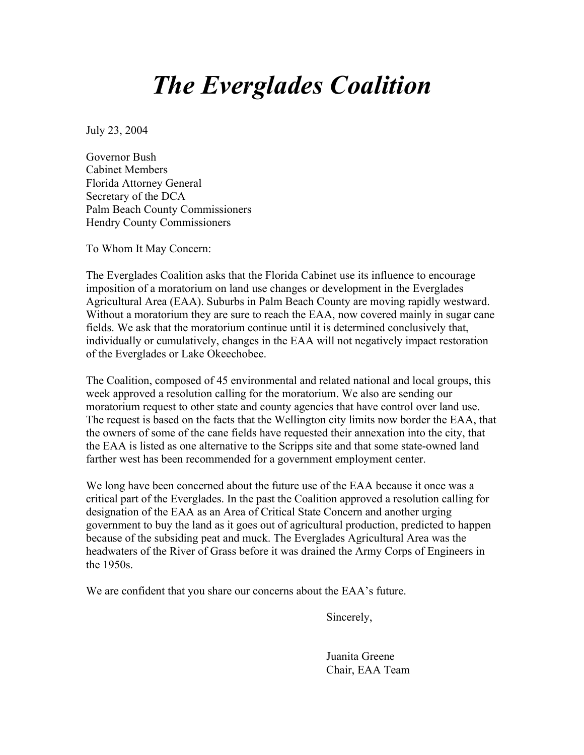## *The Everglades Coalition*

July 23, 2004

Governor Bush Cabinet Members Florida Attorney General Secretary of the DCA Palm Beach County Commissioners Hendry County Commissioners

To Whom It May Concern:

The Everglades Coalition asks that the Florida Cabinet use its influence to encourage imposition of a moratorium on land use changes or development in the Everglades Agricultural Area (EAA). Suburbs in Palm Beach County are moving rapidly westward. Without a moratorium they are sure to reach the EAA, now covered mainly in sugar cane fields. We ask that the moratorium continue until it is determined conclusively that, individually or cumulatively, changes in the EAA will not negatively impact restoration of the Everglades or Lake Okeechobee.

The Coalition, composed of 45 environmental and related national and local groups, this week approved a resolution calling for the moratorium. We also are sending our moratorium request to other state and county agencies that have control over land use. The request is based on the facts that the Wellington city limits now border the EAA, that the owners of some of the cane fields have requested their annexation into the city, that the EAA is listed as one alternative to the Scripps site and that some state-owned land farther west has been recommended for a government employment center.

We long have been concerned about the future use of the EAA because it once was a critical part of the Everglades. In the past the Coalition approved a resolution calling for designation of the EAA as an Area of Critical State Concern and another urging government to buy the land as it goes out of agricultural production, predicted to happen because of the subsiding peat and muck. The Everglades Agricultural Area was the headwaters of the River of Grass before it was drained the Army Corps of Engineers in the 1950s.

We are confident that you share our concerns about the EAA's future.

Sincerely,

Juanita Greene Chair, EAA Team